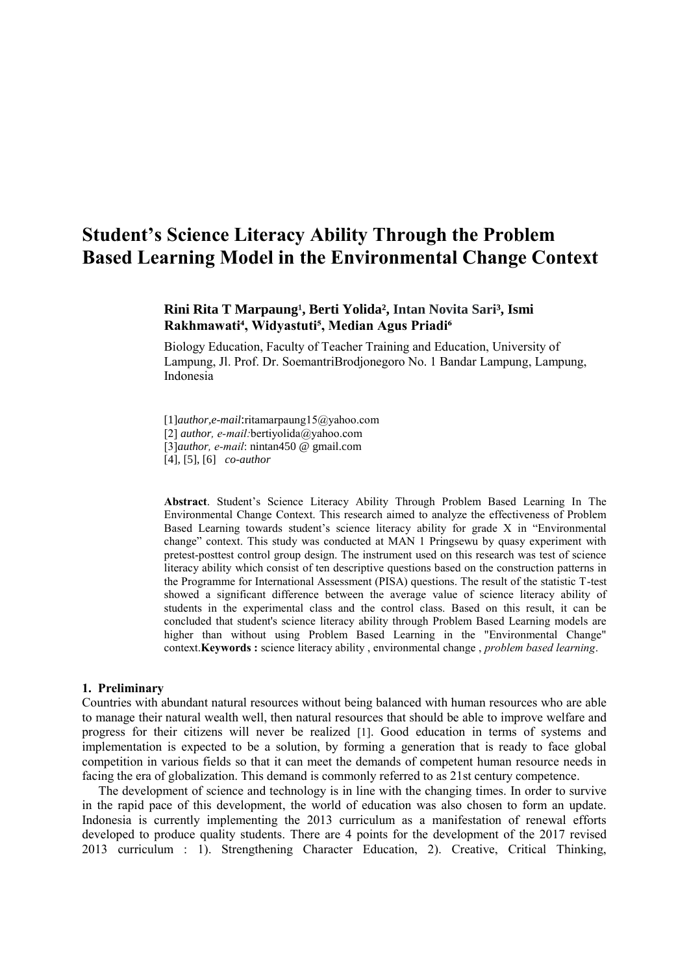# **Student's Science Literacy Ability Through the Problem Based Learning Model in the Environmental Change Context**

## **Rini Rita T Marpaung¹, Berti Yolida², Intan Novita Sari³, Ismi Rakhmawati⁴, Widyastuti⁵, Median Agus Priadi⁶**

Biology Education, Faculty of Teacher Training and Education, University of Lampung, Jl. Prof. Dr. SoemantriBrodjonegoro No. 1 Bandar Lampung, Lampung, Indonesia

[1]*author,e-mail*:ritamarpaung15@yahoo.com [2] *author, e-mail:*bertiyolida@yahoo.com [3]*author, e-mail*: nintan450 @ gmail.com [4], [5], [6] *co-author*

**Abstract**. Student's Science Literacy Ability Through Problem Based Learning In The Environmental Change Context. This research aimed to analyze the effectiveness of Problem Based Learning towards student's science literacy ability for grade X in "Environmental change" context. This study was conducted at MAN 1 Pringsewu by quasy experiment with pretest-posttest control group design. The instrument used on this research was test of science literacy ability which consist of ten descriptive questions based on the construction patterns in the Programme for International Assessment (PISA) questions. The result of the statistic T-test showed a significant difference between the average value of science literacy ability of students in the experimental class and the control class. Based on this result, it can be concluded that student's science literacy ability through Problem Based Learning models are higher than without using Problem Based Learning in the "Environmental Change" context.**Keywords :** science literacy ability , environmental change , *problem based learning*.

## **1. Preliminary**

Countries with abundant natural resources without being balanced with human resources who are able to manage their natural wealth well, then natural resources that should be able to improve welfare and progress for their citizens will never be realized [1]. Good education in terms of systems and implementation is expected to be a solution, by forming a generation that is ready to face global competition in various fields so that it can meet the demands of competent human resource needs in facing the era of globalization. This demand is commonly referred to as 21st century competence.

The development of science and technology is in line with the changing times. In order to survive in the rapid pace of this development, the world of education was also chosen to form an update. Indonesia is currently implementing the 2013 curriculum as a manifestation of renewal efforts developed to produce quality students. There are 4 points for the development of the 2017 revised 2013 curriculum : 1). Strengthening Character Education, 2). Creative, Critical Thinking,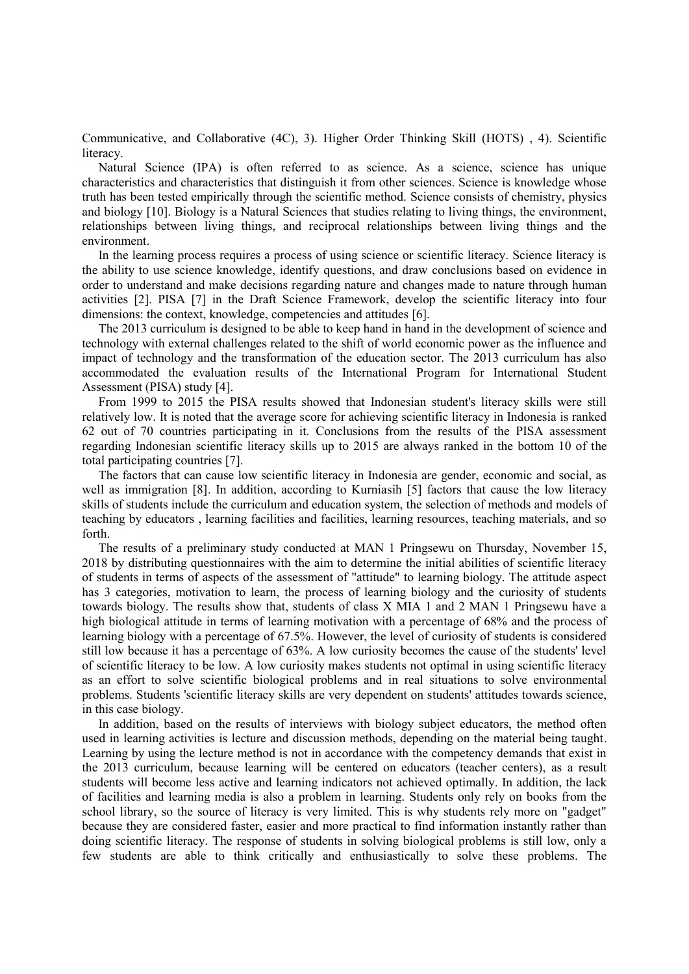Communicative, and Collaborative (4C), 3). Higher Order Thinking Skill (HOTS) , 4). Scientific literacy.

Natural Science (IPA) is often referred to as science. As a science, science has unique characteristics and characteristics that distinguish it from other sciences. Science is knowledge whose truth has been tested empirically through the scientific method. Science consists of chemistry, physics and biology [10]. Biology is a Natural Sciences that studies relating to living things, the environment, relationships between living things, and reciprocal relationships between living things and the environment.

In the learning process requires a process of using science or scientific literacy. Science literacy is the ability to use science knowledge, identify questions, and draw conclusions based on evidence in order to understand and make decisions regarding nature and changes made to nature through human activities [2]. PISA [7] in the Draft Science Framework, develop the scientific literacy into four dimensions: the context, knowledge, competencies and attitudes [6].

The 2013 curriculum is designed to be able to keep hand in hand in the development of science and technology with external challenges related to the shift of world economic power as the influence and impact of technology and the transformation of the education sector. The 2013 curriculum has also accommodated the evaluation results of the International Program for International Student Assessment (PISA) study [4].

From 1999 to 2015 the PISA results showed that Indonesian student's literacy skills were still relatively low. It is noted that the average score for achieving scientific literacy in Indonesia is ranked 62 out of 70 countries participating in it. Conclusions from the results of the PISA assessment regarding Indonesian scientific literacy skills up to 2015 are always ranked in the bottom 10 of the total participating countries [7].

The factors that can cause low scientific literacy in Indonesia are gender, economic and social, as well as immigration [8]. In addition, according to Kurniasih [5] factors that cause the low literacy skills of students include the curriculum and education system, the selection of methods and models of teaching by educators , learning facilities and facilities, learning resources, teaching materials, and so forth.

The results of a preliminary study conducted at MAN 1 Pringsewu on Thursday, November 15, 2018 by distributing questionnaires with the aim to determine the initial abilities of scientific literacy of students in terms of aspects of the assessment of "attitude" to learning biology. The attitude aspect has 3 categories, motivation to learn, the process of learning biology and the curiosity of students towards biology. The results show that, students of class X MIA 1 and 2 MAN 1 Pringsewu have a high biological attitude in terms of learning motivation with a percentage of 68% and the process of learning biology with a percentage of 67.5%. However, the level of curiosity of students is considered still low because it has a percentage of 63%. A low curiosity becomes the cause of the students' level of scientific literacy to be low. A low curiosity makes students not optimal in using scientific literacy as an effort to solve scientific biological problems and in real situations to solve environmental problems. Students 'scientific literacy skills are very dependent on students' attitudes towards science, in this case biology.

In addition, based on the results of interviews with biology subject educators, the method often used in learning activities is lecture and discussion methods, depending on the material being taught. Learning by using the lecture method is not in accordance with the competency demands that exist in the 2013 curriculum, because learning will be centered on educators (teacher centers), as a result students will become less active and learning indicators not achieved optimally. In addition, the lack of facilities and learning media is also a problem in learning. Students only rely on books from the school library, so the source of literacy is very limited. This is why students rely more on "gadget" because they are considered faster, easier and more practical to find information instantly rather than doing scientific literacy. The response of students in solving biological problems is still low, only a few students are able to think critically and enthusiastically to solve these problems. The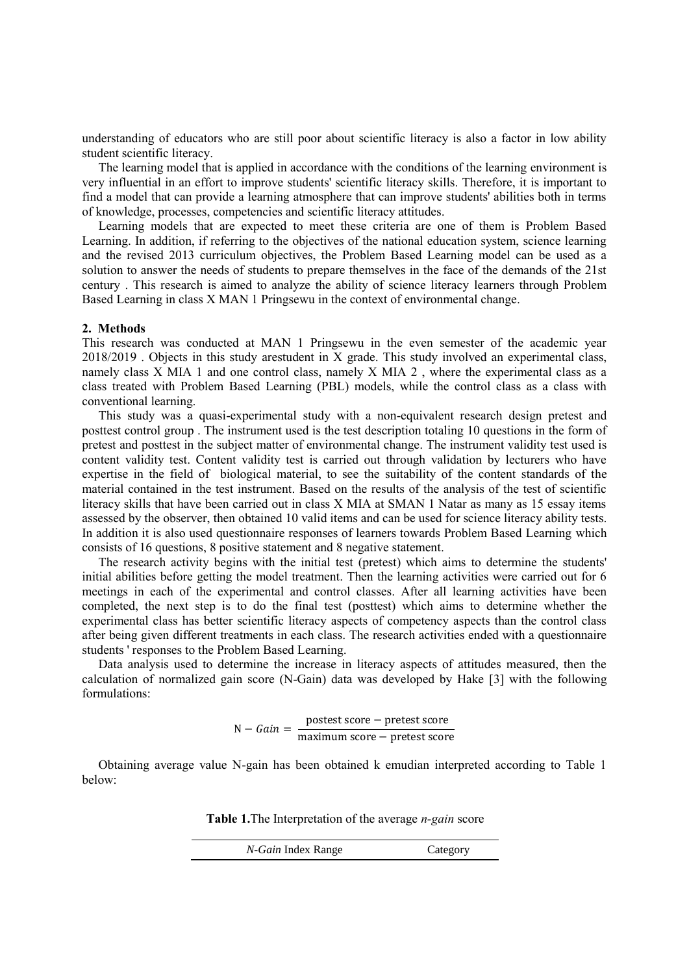understanding of educators who are still poor about scientific literacy is also a factor in low ability student scientific literacy.

The learning model that is applied in accordance with the conditions of the learning environment is very influential in an effort to improve students' scientific literacy skills. Therefore, it is important to find a model that can provide a learning atmosphere that can improve students' abilities both in terms of knowledge, processes, competencies and scientific literacy attitudes.

Learning models that are expected to meet these criteria are one of them is Problem Based Learning. In addition, if referring to the objectives of the national education system, science learning and the revised 2013 curriculum objectives, the Problem Based Learning model can be used as a solution to answer the needs of students to prepare themselves in the face of the demands of the 21st century . This research is aimed to analyze the ability of science literacy learners through Problem Based Learning in class X MAN 1 Pringsewu in the context of environmental change.

#### **2. Methods**

This research was conducted at MAN 1 Pringsewu in the even semester of the academic year 2018/2019 . Objects in this study arestudent in X grade. This study involved an experimental class, namely class X MIA 1 and one control class, namely X MIA 2 , where the experimental class as a class treated with Problem Based Learning (PBL) models, while the control class as a class with conventional learning.

This study was a quasi-experimental study with a non-equivalent research design pretest and posttest control group . The instrument used is the test description totaling 10 questions in the form of pretest and posttest in the subject matter of environmental change. The instrument validity test used is content validity test. Content validity test is carried out through validation by lecturers who have expertise in the field of biological material, to see the suitability of the content standards of the material contained in the test instrument. Based on the results of the analysis of the test of scientific literacy skills that have been carried out in class X MIA at SMAN 1 Natar as many as 15 essay items assessed by the observer, then obtained 10 valid items and can be used for science literacy ability tests. In addition it is also used questionnaire responses of learners towards Problem Based Learning which consists of 16 questions, 8 positive statement and 8 negative statement.

The research activity begins with the initial test (pretest) which aims to determine the students' initial abilities before getting the model treatment. Then the learning activities were carried out for 6 meetings in each of the experimental and control classes. After all learning activities have been completed, the next step is to do the final test (posttest) which aims to determine whether the experimental class has better scientific literacy aspects of competency aspects than the control class after being given different treatments in each class. The research activities ended with a questionnaire students ' responses to the Problem Based Learning.

Data analysis used to determine the increase in literacy aspects of attitudes measured, then the calculation of normalized gain score (N-Gain) data was developed by Hake [3] with the following formulations:

$$
N - Gain = \frac{postest score - pretest score}{maximum score - pretest score}
$$

Obtaining average value N-gain has been obtained k emudian interpreted according to Table 1 below:

**Table 1.**The Interpretation of the average *n-gain* score

| <i>N-Gain</i> Index Range | Category |
|---------------------------|----------|
|---------------------------|----------|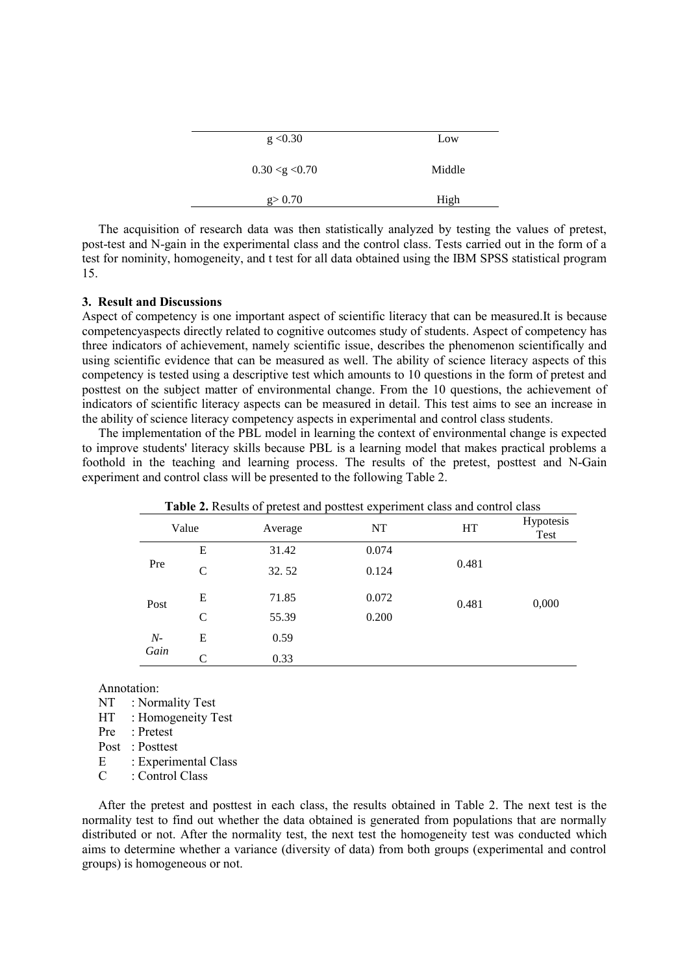| g < 0.30<br>Low<br>0.30 < g < 0.70<br>Middle |
|----------------------------------------------|
|                                              |
|                                              |
| High<br>g > 0.70                             |

The acquisition of research data was then statistically analyzed by testing the values of pretest, post-test and N-gain in the experimental class and the control class. Tests carried out in the form of a test for nominity, homogeneity, and t test for all data obtained using the IBM SPSS statistical program 15.

#### **3. Result and Discussions**

Aspect of competency is one important aspect of scientific literacy that can be measured.It is because competencyaspects directly related to cognitive outcomes study of students. Aspect of competency has three indicators of achievement, namely scientific issue, describes the phenomenon scientifically and using scientific evidence that can be measured as well. The ability of science literacy aspects of this competency is tested using a descriptive test which amounts to 10 questions in the form of pretest and posttest on the subject matter of environmental change. From the 10 questions, the achievement of indicators of scientific literacy aspects can be measured in detail. This test aims to see an increase in the ability of science literacy competency aspects in experimental and control class students.

The implementation of the PBL model in learning the context of environmental change is expected to improve students' literacy skills because PBL is a learning model that makes practical problems a foothold in the teaching and learning process. The results of the pretest, posttest and N-Gain experiment and control class will be presented to the following Table 2.

| <b>Table 2.</b> Results of pretest and positest experiment class and control class |       |         |       |       |                   |  |
|------------------------------------------------------------------------------------|-------|---------|-------|-------|-------------------|--|
|                                                                                    | Value | Average | NT    | HT    | Hypotesis<br>Test |  |
|                                                                                    | Е     | 31.42   | 0.074 |       |                   |  |
| Pre                                                                                | C     | 32.52   | 0.124 | 0.481 |                   |  |
| Post                                                                               | Е     | 71.85   | 0.072 | 0.481 | 0,000             |  |
|                                                                                    | C     | 55.39   | 0.200 |       |                   |  |
| N-<br>Gain                                                                         | Е     | 0.59    |       |       |                   |  |
|                                                                                    | C     | 0.33    |       |       |                   |  |

| <b>Table 2.</b> Results of pretest and posttest experiment class and control class |  |  |
|------------------------------------------------------------------------------------|--|--|
|------------------------------------------------------------------------------------|--|--|

Annotation:

NT : Normality Test

HT : Homogeneity Test

Pre : Pretest

Post : Posttest

E : Experimental Class

C : Control Class

After the pretest and posttest in each class, the results obtained in Table 2. The next test is the normality test to find out whether the data obtained is generated from populations that are normally distributed or not. After the normality test, the next test the homogeneity test was conducted which aims to determine whether a variance (diversity of data) from both groups (experimental and control groups) is homogeneous or not.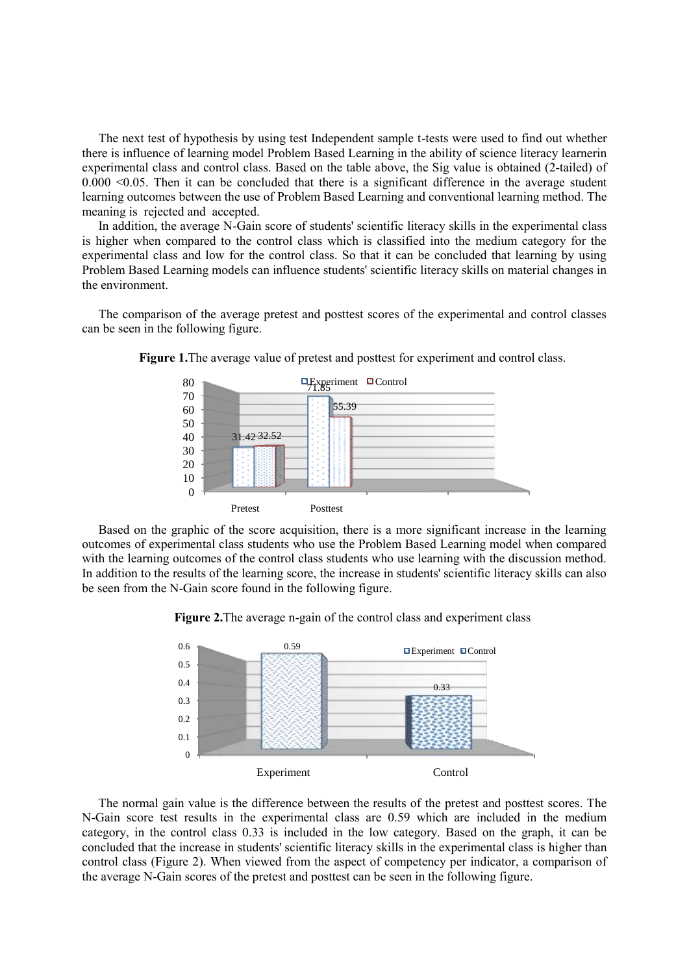The next test of hypothesis by using test Independent sample t-tests were used to find out whether there is influence of learning model Problem Based Learning in the ability of science literacy learnerin experimental class and control class. Based on the table above, the Sig value is obtained (2-tailed) of 0.000 <0.05. Then it can be concluded that there is a significant difference in the average student learning outcomes between the use of Problem Based Learning and conventional learning method. The meaning is rejected and accepted.

In addition, the average N-Gain score of students' scientific literacy skills in the experimental class is higher when compared to the control class which is classified into the medium category for the experimental class and low for the control class. So that it can be concluded that learning by using Problem Based Learning models can influence students' scientific literacy skills on material changes in the environment.

The comparison of the average pretest and posttest scores of the experimental and control classes can be seen in the following figure.



**Figure 1.**The average value of pretest and posttest for experiment and control class.

Based on the graphic of the score acquisition, there is a more significant increase in the learning outcomes of experimental class students who use the Problem Based Learning model when compared with the learning outcomes of the control class students who use learning with the discussion method. In addition to the results of the learning score, the increase in students' scientific literacy skills can also be seen from the N-Gain score found in the following figure.





The normal gain value is the difference between the results of the pretest and posttest scores. The N-Gain score test results in the experimental class are 0.59 which are included in the medium category, in the control class 0.33 is included in the low category. Based on the graph, it can be concluded that the increase in students' scientific literacy skills in the experimental class is higher than control class (Figure 2). When viewed from the aspect of competency per indicator, a comparison of the average N-Gain scores of the pretest and posttest can be seen in the following figure.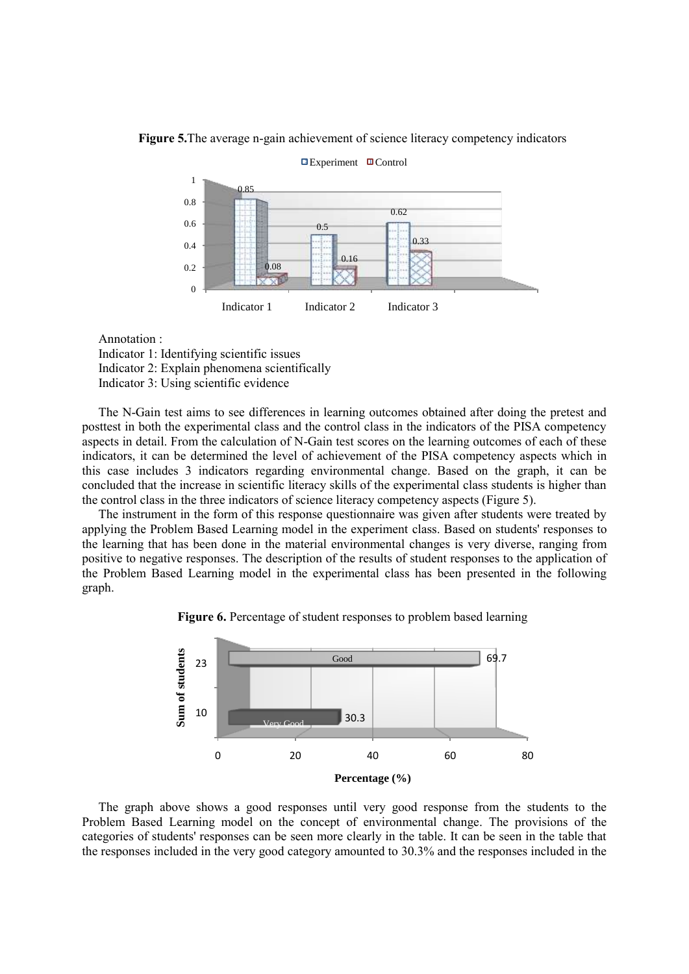

**Figure 5.**The average n-gain achievement of science literacy competency indicators

Annotation :

Indicator 1: Identifying scientific issues Indicator 2: Explain phenomena scientifically Indicator 3: Using scientific evidence

The N-Gain test aims to see differences in learning outcomes obtained after doing the pretest and posttest in both the experimental class and the control class in the indicators of the PISA competency aspects in detail. From the calculation of N-Gain test scores on the learning outcomes of each of these indicators, it can be determined the level of achievement of the PISA competency aspects which in this case includes 3 indicators regarding environmental change. Based on the graph, it can be concluded that the increase in scientific literacy skills of the experimental class students is higher than the control class in the three indicators of science literacy competency aspects (Figure 5).

The instrument in the form of this response questionnaire was given after students were treated by applying the Problem Based Learning model in the experiment class. Based on students' responses to the learning that has been done in the material environmental changes is very diverse, ranging from positive to negative responses. The description of the results of student responses to the application of the Problem Based Learning model in the experimental class has been presented in the following graph.





The graph above shows a good responses until very good response from the students to the Problem Based Learning model on the concept of environmental change. The provisions of the categories of students' responses can be seen more clearly in the table. It can be seen in the table that the responses included in the very good category amounted to 30.3% and the responses included in the